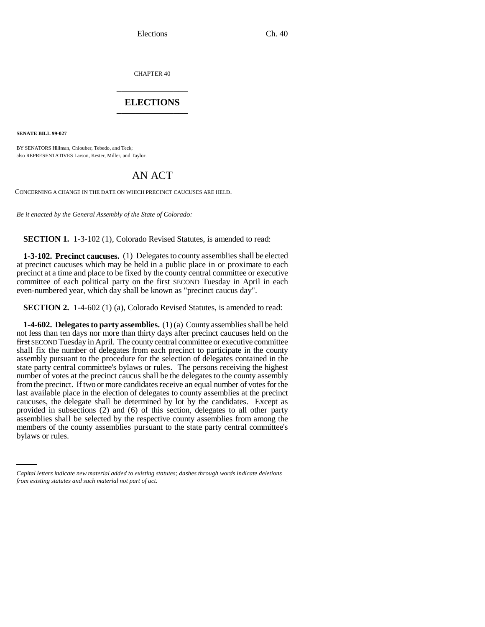CHAPTER 40 \_\_\_\_\_\_\_\_\_\_\_\_\_\_\_

## **ELECTIONS** \_\_\_\_\_\_\_\_\_\_\_\_\_\_\_

**SENATE BILL 99-027** 

BY SENATORS Hillman, Chlouber, Tebedo, and Teck; also REPRESENTATIVES Larson, Kester, Miller, and Taylor.

## AN ACT

CONCERNING A CHANGE IN THE DATE ON WHICH PRECINCT CAUCUSES ARE HELD.

*Be it enacted by the General Assembly of the State of Colorado:*

**SECTION 1.** 1-3-102 (1), Colorado Revised Statutes, is amended to read:

**1-3-102. Precinct caucuses.** (1) Delegates to county assemblies shall be elected at precinct caucuses which may be held in a public place in or proximate to each precinct at a time and place to be fixed by the county central committee or executive committee of each political party on the first SECOND Tuesday in April in each even-numbered year, which day shall be known as "precinct caucus day".

**SECTION 2.** 1-4-602 (1) (a), Colorado Revised Statutes, is amended to read:

assemblies shall be selected by the respective county assemblies from among the members of the county assemblies pursuant to the state party central committee's **1-4-602. Delegates to party assemblies.** (1) (a) County assemblies shall be held not less than ten days nor more than thirty days after precinct caucuses held on the first SECOND Tuesday in April. The county central committee or executive committee shall fix the number of delegates from each precinct to participate in the county assembly pursuant to the procedure for the selection of delegates contained in the state party central committee's bylaws or rules. The persons receiving the highest number of votes at the precinct caucus shall be the delegates to the county assembly from the precinct. If two or more candidates receive an equal number of votes for the last available place in the election of delegates to county assemblies at the precinct caucuses, the delegate shall be determined by lot by the candidates. Except as provided in subsections (2) and (6) of this section, delegates to all other party assemblies shall be selected by the respective county assemblies from among the bylaws or rules.

*Capital letters indicate new material added to existing statutes; dashes through words indicate deletions from existing statutes and such material not part of act.*